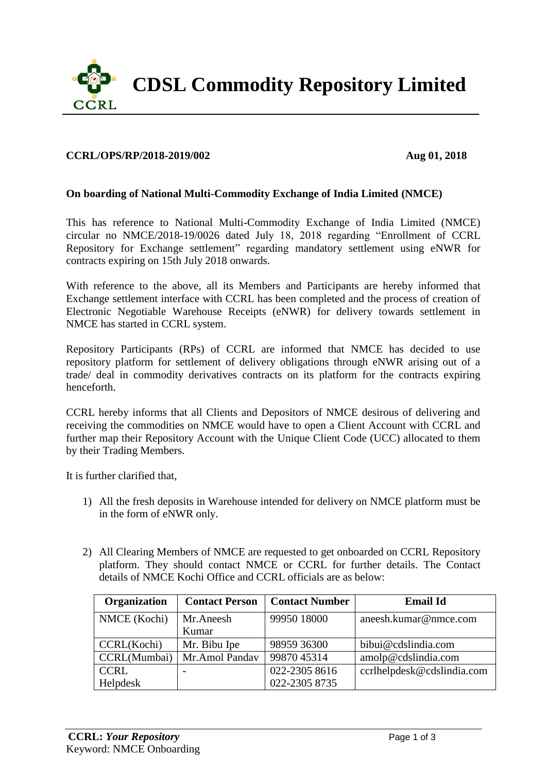

## **CCRL/OPS/RP/2018-2019/002 Aug 01, 2018**

## **On boarding of National Multi-Commodity Exchange of India Limited (NMCE)**

This has reference to National Multi-Commodity Exchange of India Limited (NMCE) circular no NMCE/2018-19/0026 dated July 18, 2018 regarding "Enrollment of CCRL Repository for Exchange settlement" regarding mandatory settlement using eNWR for contracts expiring on 15th July 2018 onwards.

With reference to the above, all its Members and Participants are hereby informed that Exchange settlement interface with CCRL has been completed and the process of creation of Electronic Negotiable Warehouse Receipts (eNWR) for delivery towards settlement in NMCE has started in CCRL system.

Repository Participants (RPs) of CCRL are informed that NMCE has decided to use repository platform for settlement of delivery obligations through eNWR arising out of a trade/ deal in commodity derivatives contracts on its platform for the contracts expiring henceforth.

CCRL hereby informs that all Clients and Depositors of NMCE desirous of delivering and receiving the commodities on NMCE would have to open a Client Account with CCRL and further map their Repository Account with the Unique Client Code (UCC) allocated to them by their Trading Members.

It is further clarified that,

- 1) All the fresh deposits in Warehouse intended for delivery on NMCE platform must be in the form of eNWR only.
- 2) All Clearing Members of NMCE are requested to get onboarded on CCRL Repository platform. They should contact NMCE or CCRL for further details. The Contact details of NMCE Kochi Office and CCRL officials are as below:

| <b>Organization</b> | <b>Contact Person</b> | <b>Contact Number</b> | <b>Email Id</b>            |
|---------------------|-----------------------|-----------------------|----------------------------|
| NMCE (Kochi)        | Mr.Aneesh             | 99950 18000           | aneesh.kumar@nmce.com      |
|                     | Kumar                 |                       |                            |
| CCRL(Kochi)         | Mr. Bibu Ipe          | 98959 36300           | bibui@cdslindia.com        |
| CCRL(Mumbai)        | Mr.Amol Pandav        | 9987045314            | amolp@cdslindia.com        |
| <b>CCRL</b>         |                       | 022-2305 8616         | ccrlhelpdesk@cdslindia.com |
| Helpdesk            |                       | 022-2305 8735         |                            |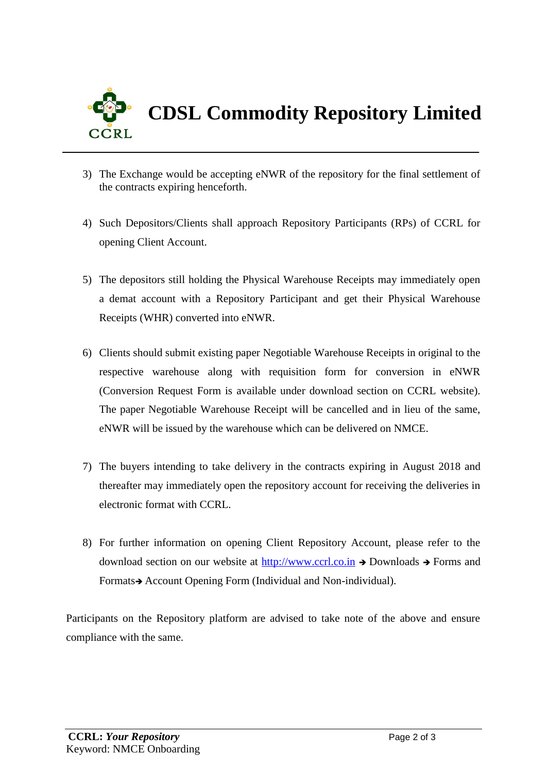

- 3) The Exchange would be accepting eNWR of the repository for the final settlement of the contracts expiring henceforth.
- 4) Such Depositors/Clients shall approach Repository Participants (RPs) of CCRL for opening Client Account.
- 5) The depositors still holding the Physical Warehouse Receipts may immediately open a demat account with a Repository Participant and get their Physical Warehouse Receipts (WHR) converted into eNWR.
- 6) Clients should submit existing paper Negotiable Warehouse Receipts in original to the respective warehouse along with requisition form for conversion in eNWR (Conversion Request Form is available under download section on CCRL website). The paper Negotiable Warehouse Receipt will be cancelled and in lieu of the same, eNWR will be issued by the warehouse which can be delivered on NMCE.
- 7) The buyers intending to take delivery in the contracts expiring in August 2018 and thereafter may immediately open the repository account for receiving the deliveries in electronic format with CCRL.
- 8) For further information on opening Client Repository Account, please refer to the download section on our website at [http://www.ccrl.co.in](http://www.ccrl.co.in/)  $\rightarrow$  Downloads  $\rightarrow$  Forms and Formats Account Opening Form (Individual and Non-individual).

Participants on the Repository platform are advised to take note of the above and ensure compliance with the same.